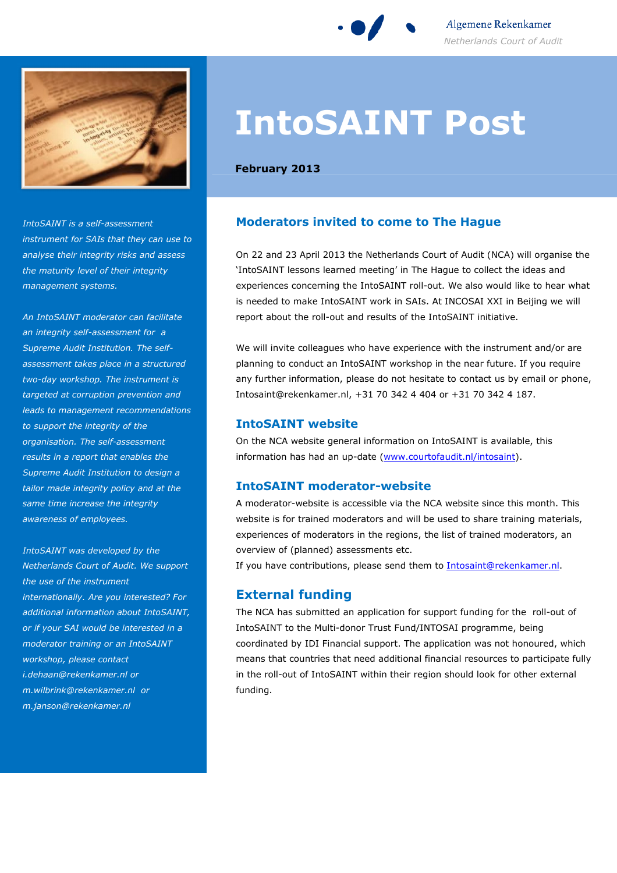

Algemene Rekenkamer Netherlands Court of Audit



IntoSAINT is a self-assessment instrument for SAIs that they can use to analyse their integrity risks and assess the maturity level of their integrity management systems.

An IntoSAINT moderator can facilitate an integrity self-assessment for a Supreme Audit Institution. The selfassessment takes place in a structured two-day workshop. The instrument is targeted at corruption prevention and leads to management recommendations to support the integrity of the organisation. The self-assessment results in a report that enables the Supreme Audit Institution to design a tailor made integrity policy and at the same time increase the integrity awareness of employees.

IntoSAINT was developed by the Netherlands Court of Audit. We support the use of the instrument internationally. Are you interested? For additional information about IntoSAINT, or if your SAI would be interested in a moderator training or an IntoSAINT workshop, please contact i.dehaan@rekenkamer.nl or m.wilbrink@rekenkamer.nl or m.janson@rekenkamer.nl

# IntoSAINT Post

February 2013

## Moderators invited to come to The Hague

On 22 and 23 April 2013 the Netherlands Court of Audit (NCA) will organise the 'IntoSAINT lessons learned meeting' in The Hague to collect the ideas and experiences concerning the IntoSAINT roll-out. We also would like to hear what is needed to make IntoSAINT work in SAIs. At INCOSAI XXI in Beijing we will report about the roll-out and results of the IntoSAINT initiative.

We will invite colleagues who have experience with the instrument and/or are planning to conduct an IntoSAINT workshop in the near future. If you require any further information, please do not hesitate to contact us by email or phone, Intosaint@rekenkamer.nl, +31 70 342 4 404 or +31 70 342 4 187.

### IntoSAINT website

On the NCA website general information on IntoSAINT is available, this information has had an up-date (www.courtofaudit.nl/intosaint).

## IntoSAINT moderator-website

A moderator-website is accessible via the NCA website since this month. This website is for trained moderators and will be used to share training materials, experiences of moderators in the regions, the list of trained moderators, an overview of (planned) assessments etc.

If you have contributions, please send them to **Intosaint@rekenkamer.nl**.

# External funding

The NCA has submitted an application for support funding for the roll-out of IntoSAINT to the Multi-donor Trust Fund/INTOSAI programme, being coordinated by IDI Financial support. The application was not honoured, which means that countries that need additional financial resources to participate fully in the roll-out of IntoSAINT within their region should look for other external funding.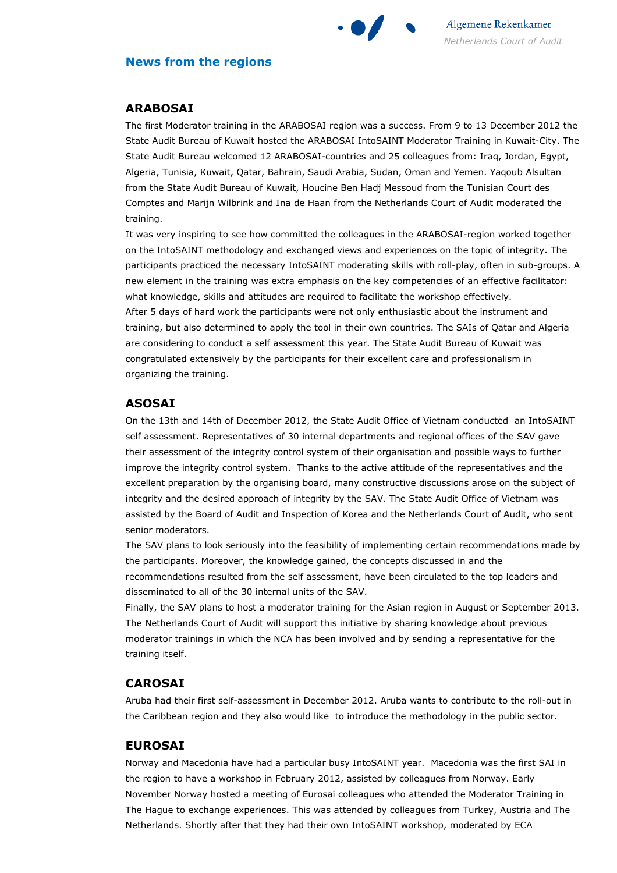

### News from the regions

### ARABOSAI

The first Moderator training in the ARABOSAI region was a success. From 9 to 13 December 2012 the State Audit Bureau of Kuwait hosted the ARABOSAI IntoSAINT Moderator Training in Kuwait-City. The State Audit Bureau welcomed 12 ARABOSAI-countries and 25 colleagues from: Iraq, Jordan, Egypt, Algeria, Tunisia, Kuwait, Qatar, Bahrain, Saudi Arabia, Sudan, Oman and Yemen. Yaqoub Alsultan from the State Audit Bureau of Kuwait, Houcine Ben Hadj Messoud from the Tunisian Court des Comptes and Marijn Wilbrink and Ina de Haan from the Netherlands Court of Audit moderated the training.

It was very inspiring to see how committed the colleagues in the ARABOSAI-region worked together on the IntoSAINT methodology and exchanged views and experiences on the topic of integrity. The participants practiced the necessary IntoSAINT moderating skills with roll-play, often in sub-groups. A new element in the training was extra emphasis on the key competencies of an effective facilitator: what knowledge, skills and attitudes are required to facilitate the workshop effectively. After 5 days of hard work the participants were not only enthusiastic about the instrument and training, but also determined to apply the tool in their own countries. The SAIs of Qatar and Algeria are considering to conduct a self assessment this year. The State Audit Bureau of Kuwait was congratulated extensively by the participants for their excellent care and professionalism in organizing the training.

### ASOSAI

On the 13th and 14th of December 2012, the State Audit Office of Vietnam conducted an IntoSAINT self assessment. Representatives of 30 internal departments and regional offices of the SAV gave their assessment of the integrity control system of their organisation and possible ways to further improve the integrity control system. Thanks to the active attitude of the representatives and the excellent preparation by the organising board, many constructive discussions arose on the subject of integrity and the desired approach of integrity by the SAV. The State Audit Office of Vietnam was assisted by the Board of Audit and Inspection of Korea and the Netherlands Court of Audit, who sent senior moderators.

The SAV plans to look seriously into the feasibility of implementing certain recommendations made by the participants. Moreover, the knowledge gained, the concepts discussed in and the recommendations resulted from the self assessment, have been circulated to the top leaders and disseminated to all of the 30 internal units of the SAV.

Finally, the SAV plans to host a moderator training for the Asian region in August or September 2013. The Netherlands Court of Audit will support this initiative by sharing knowledge about previous moderator trainings in which the NCA has been involved and by sending a representative for the training itself.

#### CAROSAI

Aruba had their first self-assessment in December 2012. Aruba wants to contribute to the roll-out in the Caribbean region and they also would like to introduce the methodology in the public sector.

#### EUROSAI

Norway and Macedonia have had a particular busy IntoSAINT year. Macedonia was the first SAI in the region to have a workshop in February 2012, assisted by colleagues from Norway. Early November Norway hosted a meeting of Eurosai colleagues who attended the Moderator Training in The Hague to exchange experiences. This was attended by colleagues from Turkey, Austria and The Netherlands. Shortly after that they had their own IntoSAINT workshop, moderated by ECA